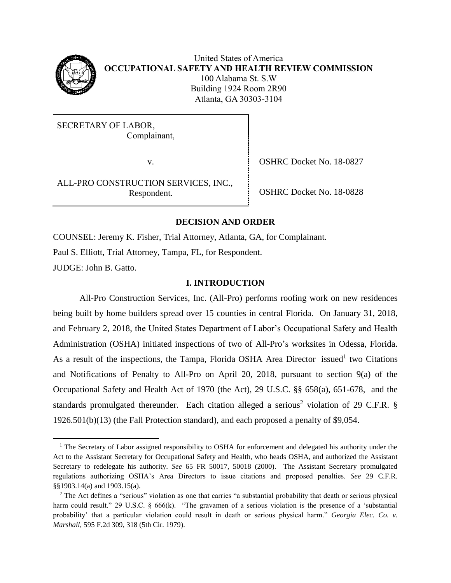

 $\overline{a}$ 

United States of America **OCCUPATIONAL SAFETY AND HEALTH REVIEW COMMISSION** 100 Alabama St. S.W Building 1924 Room 2R90 Atlanta, GA 30303-3104

SECRETARY OF LABOR, Complainant,

ALL-PRO CONSTRUCTION SERVICES, INC., Respondent. COSHRC Docket No. 18-0828

v. SHRC Docket No. 18-0827

## **DECISION AND ORDER**

COUNSEL: Jeremy K. Fisher, Trial Attorney, Atlanta, GA, for Complainant. Paul S. Elliott, Trial Attorney, Tampa, FL, for Respondent. JUDGE: John B. Gatto.

# **I. INTRODUCTION**

All-Pro Construction Services, Inc. (All-Pro) performs roofing work on new residences being built by home builders spread over 15 counties in central Florida. On January 31, 2018, and February 2, 2018, the United States Department of Labor's Occupational Safety and Health Administration (OSHA) initiated inspections of two of All-Pro's worksites in Odessa, Florida. As a result of the inspections, the Tampa, Florida OSHA Area Director issued<sup>1</sup> two Citations and Notifications of Penalty to All-Pro on April 20, 2018, pursuant to section 9(a) of the Occupational Safety and Health Act of 1970 (the Act), 29 U.S.C. §§ 658(a), 651-678, and the standards promulgated thereunder. Each citation alleged a serious<sup>2</sup> violation of 29 C.F.R. § 1926.501(b)(13) (the Fall Protection standard), and each proposed a penalty of \$9,054.

<sup>&</sup>lt;sup>1</sup> The Secretary of Labor assigned responsibility to OSHA for enforcement and delegated his authority under the Act to the Assistant Secretary for Occupational Safety and Health, who heads OSHA, and authorized the Assistant Secretary to redelegate his authority. *See* 65 FR 50017, 50018 (2000). The Assistant Secretary promulgated regulations authorizing OSHA's Area Directors to issue citations and proposed penalties. *See* 29 C.F.R. §§1903.14(a) and 1903.15(a).

<sup>&</sup>lt;sup>2</sup> The Act defines a "serious" violation as one that carries "a substantial probability that death or serious physical harm could result." 29 U.S.C. § 666(k). "The gravamen of a serious violation is the presence of a 'substantial probability' that a particular violation could result in death or serious physical harm." *Georgia Elec. Co. v. Marshall*, 595 F.2d 309, 318 (5th Cir. 1979).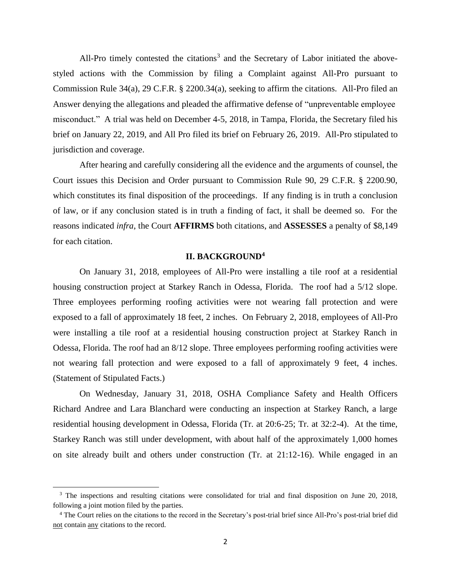All-Pro timely contested the citations<sup>3</sup> and the Secretary of Labor initiated the abovestyled actions with the Commission by filing a Complaint against All-Pro pursuant to Commission Rule 34(a), 29 C.F.R. § 2200.34(a), seeking to affirm the citations. All-Pro filed an Answer denying the allegations and pleaded the affirmative defense of "unpreventable employee misconduct." A trial was held on December 4-5, 2018, in Tampa, Florida, the Secretary filed his brief on January 22, 2019, and All Pro filed its brief on February 26, 2019. All-Pro stipulated to jurisdiction and coverage.

After hearing and carefully considering all the evidence and the arguments of counsel, the Court issues this Decision and Order pursuant to Commission Rule 90, 29 C.F.R. § 2200.90, which constitutes its final disposition of the proceedings. If any finding is in truth a conclusion of law, or if any conclusion stated is in truth a finding of fact, it shall be deemed so. For the reasons indicated *infra*, the Court **AFFIRMS** both citations, and **ASSESSES** a penalty of \$8,149 for each citation.

## **II. BACKGROUND<sup>4</sup>**

On January 31, 2018, employees of All-Pro were installing a tile roof at a residential housing construction project at Starkey Ranch in Odessa, Florida. The roof had a 5/12 slope. Three employees performing roofing activities were not wearing fall protection and were exposed to a fall of approximately 18 feet, 2 inches. On February 2, 2018, employees of All-Pro were installing a tile roof at a residential housing construction project at Starkey Ranch in Odessa, Florida. The roof had an 8/12 slope. Three employees performing roofing activities were not wearing fall protection and were exposed to a fall of approximately 9 feet, 4 inches. (Statement of Stipulated Facts.)

On Wednesday, January 31, 2018, OSHA Compliance Safety and Health Officers Richard Andree and Lara Blanchard were conducting an inspection at Starkey Ranch, a large residential housing development in Odessa, Florida (Tr. at 20:6-25; Tr. at 32:2-4). At the time, Starkey Ranch was still under development, with about half of the approximately 1,000 homes on site already built and others under construction (Tr. at 21:12-16). While engaged in an

<sup>&</sup>lt;sup>3</sup> The inspections and resulting citations were consolidated for trial and final disposition on June 20, 2018, following a joint motion filed by the parties.

<sup>4</sup> The Court relies on the citations to the record in the Secretary's post-trial brief since All-Pro's post-trial brief did not contain any citations to the record.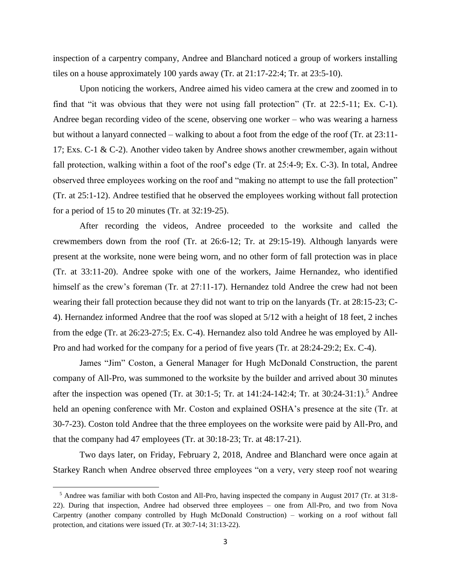inspection of a carpentry company, Andree and Blanchard noticed a group of workers installing tiles on a house approximately 100 yards away (Tr. at 21:17-22:4; Tr. at 23:5-10).

Upon noticing the workers, Andree aimed his video camera at the crew and zoomed in to find that "it was obvious that they were not using fall protection" (Tr. at 22:5-11; Ex. C-1). Andree began recording video of the scene, observing one worker – who was wearing a harness but without a lanyard connected – walking to about a foot from the edge of the roof (Tr. at 23:11- 17; Exs. C-1 & C-2). Another video taken by Andree shows another crewmember, again without fall protection, walking within a foot of the roof's edge (Tr. at 25:4-9; Ex. C-3). In total, Andree observed three employees working on the roof and "making no attempt to use the fall protection" (Tr. at 25:1-12). Andree testified that he observed the employees working without fall protection for a period of 15 to 20 minutes (Tr. at 32:19-25).

After recording the videos, Andree proceeded to the worksite and called the crewmembers down from the roof (Tr. at 26:6-12; Tr. at 29:15-19). Although lanyards were present at the worksite, none were being worn, and no other form of fall protection was in place (Tr. at 33:11-20). Andree spoke with one of the workers, Jaime Hernandez, who identified himself as the crew's foreman (Tr. at 27:11-17). Hernandez told Andree the crew had not been wearing their fall protection because they did not want to trip on the lanyards (Tr. at 28:15-23; C-4). Hernandez informed Andree that the roof was sloped at 5/12 with a height of 18 feet, 2 inches from the edge (Tr. at 26:23-27:5; Ex. C-4). Hernandez also told Andree he was employed by All-Pro and had worked for the company for a period of five years (Tr. at 28:24-29:2; Ex. C-4).

James "Jim" Coston, a General Manager for Hugh McDonald Construction, the parent company of All-Pro, was summoned to the worksite by the builder and arrived about 30 minutes after the inspection was opened (Tr. at 30:1-5; Tr. at 141:24-142:4; Tr. at  $30:24-31:1$ ).<sup>5</sup> Andree held an opening conference with Mr. Coston and explained OSHA's presence at the site (Tr. at 30-7-23). Coston told Andree that the three employees on the worksite were paid by All-Pro, and that the company had 47 employees (Tr. at 30:18-23; Tr. at 48:17-21).

Two days later, on Friday, February 2, 2018, Andree and Blanchard were once again at Starkey Ranch when Andree observed three employees "on a very, very steep roof not wearing

<sup>5</sup> Andree was familiar with both Coston and All-Pro, having inspected the company in August 2017 (Tr. at 31:8- 22). During that inspection, Andree had observed three employees – one from All-Pro, and two from Nova Carpentry (another company controlled by Hugh McDonald Construction) – working on a roof without fall protection, and citations were issued (Tr. at 30:7-14; 31:13-22).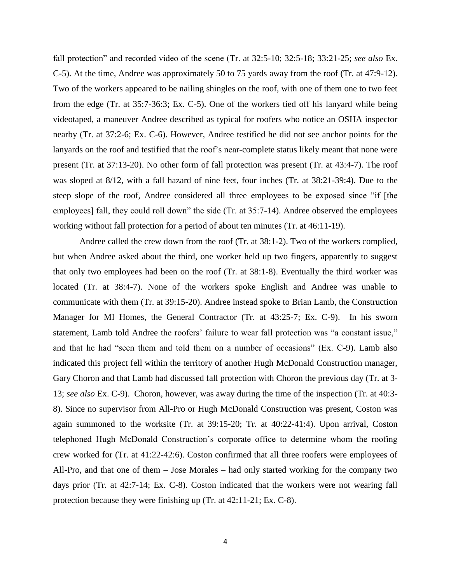fall protection" and recorded video of the scene (Tr. at 32:5-10; 32:5-18; 33:21-25; *see also* Ex. C-5). At the time, Andree was approximately 50 to 75 yards away from the roof (Tr. at 47:9-12). Two of the workers appeared to be nailing shingles on the roof, with one of them one to two feet from the edge (Tr. at 35:7-36:3; Ex. C-5). One of the workers tied off his lanyard while being videotaped, a maneuver Andree described as typical for roofers who notice an OSHA inspector nearby (Tr. at 37:2-6; Ex. C-6). However, Andree testified he did not see anchor points for the lanyards on the roof and testified that the roof's near-complete status likely meant that none were present (Tr. at 37:13-20). No other form of fall protection was present (Tr. at 43:4-7). The roof was sloped at 8/12, with a fall hazard of nine feet, four inches (Tr. at 38:21-39:4). Due to the steep slope of the roof, Andree considered all three employees to be exposed since "if [the employees] fall, they could roll down" the side (Tr. at 35:7-14). Andree observed the employees working without fall protection for a period of about ten minutes (Tr. at 46:11-19).

Andree called the crew down from the roof (Tr. at 38:1-2). Two of the workers complied, but when Andree asked about the third, one worker held up two fingers, apparently to suggest that only two employees had been on the roof (Tr. at 38:1-8). Eventually the third worker was located (Tr. at 38:4-7). None of the workers spoke English and Andree was unable to communicate with them (Tr. at 39:15-20). Andree instead spoke to Brian Lamb, the Construction Manager for MI Homes, the General Contractor (Tr. at 43:25-7; Ex. C-9). In his sworn statement, Lamb told Andree the roofers' failure to wear fall protection was "a constant issue," and that he had "seen them and told them on a number of occasions" (Ex. C-9). Lamb also indicated this project fell within the territory of another Hugh McDonald Construction manager, Gary Choron and that Lamb had discussed fall protection with Choron the previous day (Tr. at 3- 13; *see also* Ex. C-9). Choron, however, was away during the time of the inspection (Tr. at 40:3- 8). Since no supervisor from All-Pro or Hugh McDonald Construction was present, Coston was again summoned to the worksite (Tr. at 39:15-20; Tr. at 40:22-41:4). Upon arrival, Coston telephoned Hugh McDonald Construction's corporate office to determine whom the roofing crew worked for (Tr. at 41:22-42:6). Coston confirmed that all three roofers were employees of All-Pro, and that one of them – Jose Morales – had only started working for the company two days prior (Tr. at 42:7-14; Ex. C-8). Coston indicated that the workers were not wearing fall protection because they were finishing up (Tr. at 42:11-21; Ex. C-8).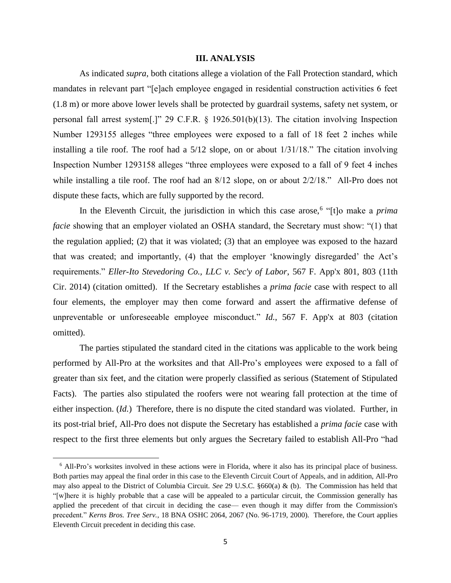#### **III. ANALYSIS**

As indicated *supra*, both citations allege a violation of the Fall Protection standard, which mandates in relevant part "[e]ach employee engaged in residential construction activities 6 feet (1.8 m) or more above lower levels shall be protected by guardrail systems, safety net system, or personal fall arrest system[.]" 29 C.F.R. § 1926.501(b)(13). The citation involving Inspection Number 1293155 alleges "three employees were exposed to a fall of 18 feet 2 inches while installing a tile roof. The roof had a 5/12 slope, on or about 1/31/18." The citation involving Inspection Number 1293158 alleges "three employees were exposed to a fall of 9 feet 4 inches while installing a tile roof. The roof had an 8/12 slope, on or about 2/2/18." All-Pro does not dispute these facts, which are fully supported by the record.

In the Eleventh Circuit, the jurisdiction in which this case arose,<sup>6</sup> "[t]o make a *prima facie* showing that an employer violated an OSHA standard, the Secretary must show: "(1) that the regulation applied; (2) that it was violated; (3) that an employee was exposed to the hazard that was created; and importantly, (4) that the employer 'knowingly disregarded' the Act's requirements." *Eller-Ito Stevedoring Co., LLC v. Sec'y of Labor*, 567 F. App'x 801, 803 (11th Cir. 2014) (citation omitted). If the Secretary establishes a *prima facie* case with respect to all four elements, the employer may then come forward and assert the affirmative defense of unpreventable or unforeseeable employee misconduct." *Id.*, 567 F. App'x at 803 (citation omitted).

The parties stipulated the standard cited in the citations was applicable to the work being performed by All-Pro at the worksites and that All-Pro's employees were exposed to a fall of greater than six feet, and the citation were properly classified as serious (Statement of Stipulated Facts). The parties also stipulated the roofers were not wearing fall protection at the time of either inspection. (*Id.*) Therefore, there is no dispute the cited standard was violated. Further, in its post-trial brief, All-Pro does not dispute the Secretary has established a *prima facie* case with respect to the first three elements but only argues the Secretary failed to establish All-Pro "had

<sup>6</sup> All-Pro's worksites involved in these actions were in Florida, where it also has its principal place of business. Both parties may appeal the final order in this case to the Eleventh Circuit Court of Appeals, and in addition, All-Pro may also appeal to the District of Columbia Circuit. *See* 29 U.S.C. §660(a) & (b). The Commission has held that "[w]here it is highly probable that a case will be appealed to a particular circuit, the Commission generally has applied the precedent of that circuit in deciding the case— even though it may differ from the Commission's precedent." *Kerns Bros. Tree Serv.*, 18 BNA OSHC 2064, 2067 (No. 96-1719, 2000). Therefore, the Court applies Eleventh Circuit precedent in deciding this case.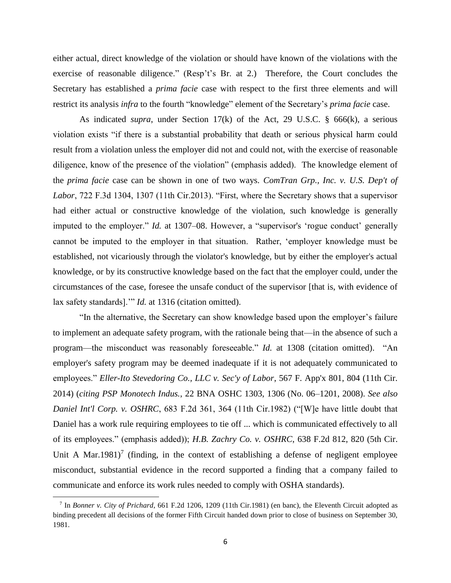either actual, direct knowledge of the violation or should have known of the violations with the exercise of reasonable diligence." (Resp't's Br. at 2.) Therefore, the Court concludes the Secretary has established a *prima facie* case with respect to the first three elements and will restrict its analysis *infra* to the fourth "knowledge" element of the Secretary's *prima facie* case.

As indicated *supra*, under Section 17(k) of the Act, 29 U.S.C. § 666(k), a serious violation exists "if there is a substantial probability that death or serious physical harm could result from a violation unless the employer did not and could not, with the exercise of reasonable diligence, know of the presence of the violation" (emphasis added). The knowledge element of the *prima facie* case can be shown in one of two ways. *ComTran Grp., Inc. v. U.S. Dep't of Labor*, 722 F.3d 1304, 1307 (11th Cir.2013). "First, where the Secretary shows that a supervisor had either actual or constructive knowledge of the violation, such knowledge is generally imputed to the employer." *Id.* at 1307–08. However, a "supervisor's 'rogue conduct' generally cannot be imputed to the employer in that situation. Rather, 'employer knowledge must be established, not vicariously through the violator's knowledge, but by either the employer's actual knowledge, or by its constructive knowledge based on the fact that the employer could, under the circumstances of the case, foresee the unsafe conduct of the supervisor [that is, with evidence of lax safety standards].'" *Id.* at 1316 (citation omitted).

"In the alternative, the Secretary can show knowledge based upon the employer's failure to implement an adequate safety program, with the rationale being that—in the absence of such a program—the misconduct was reasonably foreseeable." *Id.* at 1308 (citation omitted). "An employer's safety program may be deemed inadequate if it is not adequately communicated to employees." *Eller-Ito Stevedoring Co., LLC v. Sec'y of Labor*, 567 F. App'x 801, 804 (11th Cir. 2014) (*citing PSP Monotech Indus.*, 22 BNA OSHC 1303, 1306 (No. 06–1201, 2008). *See also Daniel Int'l Corp. v. OSHRC*, 683 F.2d 361, 364 (11th Cir.1982) ("[W]e have little doubt that Daniel has a work rule requiring employees to tie off ... which is communicated effectively to all of its employees." (emphasis added)); *H.B. Zachry Co. v. OSHRC*, 638 F.2d 812, 820 (5th Cir. Unit A Mar.1981)<sup>7</sup> (finding, in the context of establishing a defense of negligent employee misconduct, substantial evidence in the record supported a finding that a company failed to communicate and enforce its work rules needed to comply with OSHA standards).

<sup>7</sup> In *Bonner v. City of Prichard*, 661 F.2d 1206, 1209 (11th Cir.1981) (en banc), the Eleventh Circuit adopted as binding precedent all decisions of the former Fifth Circuit handed down prior to close of business on September 30, 1981.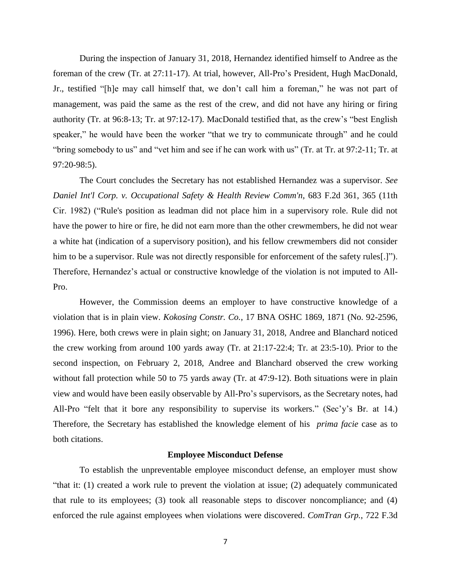During the inspection of January 31, 2018, Hernandez identified himself to Andree as the foreman of the crew (Tr. at 27:11-17). At trial, however, All-Pro's President, Hugh MacDonald, Jr., testified "[h]e may call himself that, we don't call him a foreman," he was not part of management, was paid the same as the rest of the crew, and did not have any hiring or firing authority (Tr. at 96:8-13; Tr. at 97:12-17). MacDonald testified that, as the crew's "best English speaker," he would have been the worker "that we try to communicate through" and he could "bring somebody to us" and "vet him and see if he can work with us" (Tr. at Tr. at 97:2-11; Tr. at 97:20-98:5).

The Court concludes the Secretary has not established Hernandez was a supervisor. *See Daniel Int'l Corp. v. Occupational Safety & Health Review Comm'n*, 683 F.2d 361, 365 (11th Cir. 1982) ("Rule's position as leadman did not place him in a supervisory role. Rule did not have the power to hire or fire, he did not earn more than the other crewmembers, he did not wear a white hat (indication of a supervisory position), and his fellow crewmembers did not consider him to be a supervisor. Rule was not directly responsible for enforcement of the safety rules[.]"). Therefore, Hernandez's actual or constructive knowledge of the violation is not imputed to All-Pro.

However, the Commission deems an employer to have constructive knowledge of a violation that is in plain view. *Kokosing Constr. Co.*, 17 BNA OSHC 1869, 1871 (No. 92-2596, 1996). Here, both crews were in plain sight; on January 31, 2018, Andree and Blanchard noticed the crew working from around 100 yards away (Tr. at 21:17-22:4; Tr. at 23:5-10). Prior to the second inspection, on February 2, 2018, Andree and Blanchard observed the crew working without fall protection while 50 to 75 yards away (Tr. at 47:9-12). Both situations were in plain view and would have been easily observable by All-Pro's supervisors, as the Secretary notes, had All-Pro "felt that it bore any responsibility to supervise its workers." (Sec'y's Br. at 14.) Therefore, the Secretary has established the knowledge element of his *prima facie* case as to both citations.

### **Employee Misconduct Defense**

To establish the unpreventable employee misconduct defense, an employer must show "that it: (1) created a work rule to prevent the violation at issue; (2) adequately communicated that rule to its employees; (3) took all reasonable steps to discover noncompliance; and (4) enforced the rule against employees when violations were discovered. *ComTran Grp.*, 722 F.3d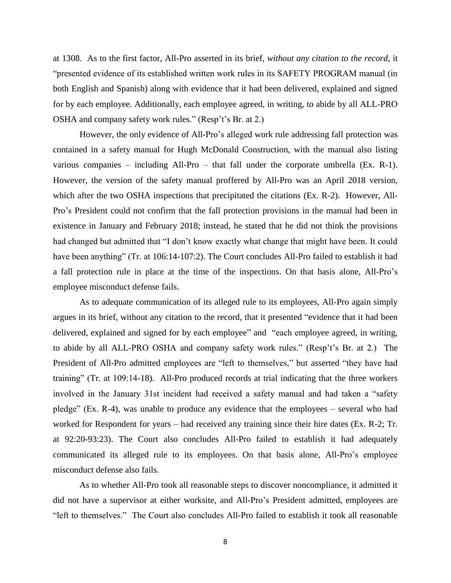at 1308. As to the first factor, All-Pro asserted in its brief, *without any citation to the record*, it "presented evidence of its established written work rules in its SAFETY PROGRAM manual (in both English and Spanish) along with evidence that it had been delivered, explained and signed for by each employee. Additionally, each employee agreed, in writing, to abide by all ALL-PRO OSHA and company safety work rules." (Resp't's Br. at 2.)

However, the only evidence of All-Pro's alleged work rule addressing fall protection was contained in a safety manual for Hugh McDonald Construction, with the manual also listing various companies – including All-Pro – that fall under the corporate umbrella (Ex. R-1). However, the version of the safety manual proffered by All-Pro was an April 2018 version, which after the two OSHA inspections that precipitated the citations (Ex. R-2). However, All-Pro's President could not confirm that the fall protection provisions in the manual had been in existence in January and February 2018; instead, he stated that he did not think the provisions had changed but admitted that "I don't know exactly what change that might have been. It could have been anything" (Tr. at 106:14-107:2). The Court concludes All-Pro failed to establish it had a fall protection rule in place at the time of the inspections. On that basis alone, All-Pro's employee misconduct defense fails.

As to adequate communication of its alleged rule to its employees, All-Pro again simply argues in its brief, without any citation to the record, that it presented "evidence that it had been delivered, explained and signed for by each employee" and "each employee agreed, in writing, to abide by all ALL-PRO OSHA and company safety work rules." (Resp't's Br. at 2.) The President of All-Pro admitted employees are "left to themselves," but asserted "they have had training" (Tr. at 109:14-18). All-Pro produced records at trial indicating that the three workers involved in the January 31st incident had received a safety manual and had taken a "safety pledge" (Ex. R-4), was unable to produce any evidence that the employees – several who had worked for Respondent for years – had received any training since their hire dates (Ex. R-2; Tr. at 92:20-93:23). The Court also concludes All-Pro failed to establish it had adequately communicated its alleged rule to its employees. On that basis alone, All-Pro's employee misconduct defense also fails.

As to whether All-Pro took all reasonable steps to discover noncompliance, it admitted it did not have a supervisor at either worksite, and All-Pro's President admitted, employees are "left to themselves." The Court also concludes All-Pro failed to establish it took all reasonable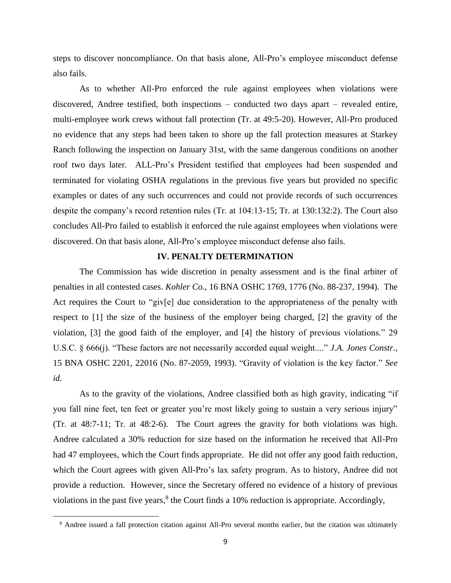steps to discover noncompliance. On that basis alone, All-Pro's employee misconduct defense also fails.

As to whether All-Pro enforced the rule against employees when violations were discovered, Andree testified, both inspections – conducted two days apart – revealed entire, multi-employee work crews without fall protection (Tr. at 49:5-20). However, All-Pro produced no evidence that any steps had been taken to shore up the fall protection measures at Starkey Ranch following the inspection on January 31st, with the same dangerous conditions on another roof two days later. ALL-Pro's President testified that employees had been suspended and terminated for violating OSHA regulations in the previous five years but provided no specific examples or dates of any such occurrences and could not provide records of such occurrences despite the company's record retention rules (Tr. at 104:13-15; Tr. at 130:132:2). The Court also concludes All-Pro failed to establish it enforced the rule against employees when violations were discovered. On that basis alone, All-Pro's employee misconduct defense also fails.

# **IV. PENALTY DETERMINATION**

The Commission has wide discretion in penalty assessment and is the final arbiter of penalties in all contested cases. *Kohler Co.*, 16 BNA OSHC 1769, 1776 (No. 88-237, 1994). The Act requires the Court to "giv[e] due consideration to the appropriateness of the penalty with respect to [1] the size of the business of the employer being charged, [2] the gravity of the violation, [3] the good faith of the employer, and [4] the history of previous violations." 29 U.S.C. § 666(j). "These factors are not necessarily accorded equal weight...." *J.A. Jones Constr.*, 15 BNA OSHC 2201, 22016 (No. 87-2059, 1993). "Gravity of violation is the key factor." *See id.*

As to the gravity of the violations, Andree classified both as high gravity, indicating "if you fall nine feet, ten feet or greater you're most likely going to sustain a very serious injury" (Tr. at 48:7-11; Tr. at 48:2-6). The Court agrees the gravity for both violations was high. Andree calculated a 30% reduction for size based on the information he received that All-Pro had 47 employees, which the Court finds appropriate. He did not offer any good faith reduction, which the Court agrees with given All-Pro's lax safety program. As to history, Andree did not provide a reduction. However, since the Secretary offered no evidence of a history of previous violations in the past five years,<sup>8</sup> the Court finds a 10% reduction is appropriate. Accordingly,

<sup>8</sup> Andree issued a fall protection citation against All-Pro several months earlier, but the citation was ultimately